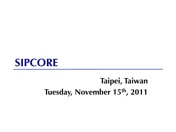### **SIPCORE**

### **Taipei, Taiwan Tuesday, November 15th, 2011**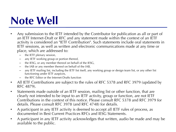### **Note Well**

- Any submission to the IETF intended by the Contributor for publication as all or part of an IETF Internet-Draft or RFC and any statement made within the context of an IETF activity is considered an "IETF Contribution". Such statements include oral statements in IETF sessions, as well as written and electronic communications made at any time or place, which are addressed to:
	- the IETF plenary session,
	- any IETF working group or portion thereof,
	- the IESG, or any member thereof on behalf of the IESG,
	- the IAB or any member thereof on behalf of the IAB,
	- any IETF mailing list, including the IETF list itself, any working group or design team list, or any other list functioning under IETF auspices,
	- the RFC Editor or the Internet-Drafts function
- All IETF Contributions are subject to the rules of RFC 5378 and RFC 3979 (updated by RFC 4879).
- Statements made outside of an IETF session, mailing list or other function, that are clearly not intended to be input to an IETF activity, group or function, are not IETF Contributions in the context of this notice. Please consult RFC 5378 and RFC 3979 for details. Please consult RFC 3978 (and RFC 4748) for details.
- A participant in any IETF activity is deemed to accept all IETF rules of process, as documented in Best Current Practices RFCs and IESG Statements.
- A participant in any IETF activity acknowledges that written, audio be made and may be available to the public.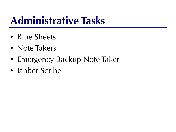## **Administrative Tasks**

- Blue Sheets
- Note Takers
- Emergency Backup Note Taker
- Jabber Scribe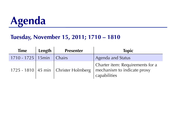

#### **Tuesday, November 15, 2011; 1710 – 1810**

| <b>Time</b>                  | Length | <b>Presenter</b>                         | <b>Topic</b>                                                                    |
|------------------------------|--------|------------------------------------------|---------------------------------------------------------------------------------|
| 1710 - 1725   15min   Chairs |        |                                          | <b>Agenda and Status</b>                                                        |
|                              |        | 1725 - 1810   45 min   Christer Holmberg | Charter item: Requirements for a<br>mechanism to indicate proxy<br>capabilities |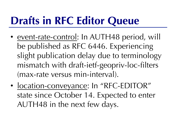# **Drafts in RFC Editor Queue**

- event-rate-control: In AUTH48 period, will be published as RFC 6446. Experiencing slight publication delay due to terminology mismatch with draft-ietf-geopriv-loc-filters (max-rate versus min-interval).
- location-conveyance: In "RFC-EDITOR" state since October 14. Expected to enter AUTH48 in the next few days.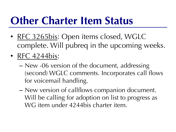## **Other Charter Item Status**

- RFC 3265bis: Open items closed, WGLC complete. Will pubreq in the upcoming weeks.
- RFC 4244bis:
	- New -06 version of the document, addressing (second) WGLC comments. Incorporates call flows for voicemail handling.
	- New version of callflows companion document. Will be calling for adoption on list to progress as WG item under 4244bis charter item.